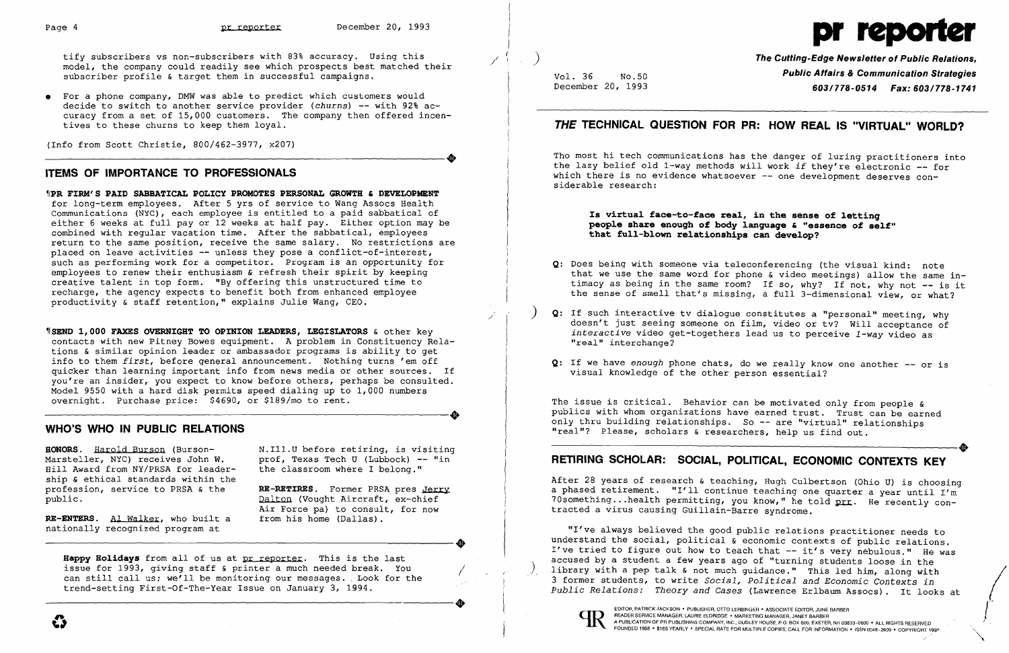

tify subscribers vs non-subscribers with 83% accuracy. Using this model, the company could readily see which prospects best matched their subscriber profile & target them in successful campaigns.

/'

(Info from Scott Christie, 800/462-3977, x207) (Info from Scott Christie, 800/462-3977, x207)<br>
THE OF IMPORTANCE TO PROFESSIONALS

• For a phone company, DMW was able to predict which customers would decide to switch to another service provider *(churns)* - with 92% accuracy from a set of 15,000 customers. The company then offered incentives to these churns to keep them loyal.

### ITEMS OF IMPORTANCE TO PROFESSIONALS

**"SEND 1,000 FAXES OVERNIGHT TO OPINION LEADERS, LEGISLATORS & other key** contacts with new Pitney Bowes equipment. A problem in Constituency Relations & similar opinion leader or ambassador programs is ability to get info to them *first,* before general announcement. Nothing turns 'em off quicker than learning important info from news media or other sources. If you're an insider, you expect to know before others, perhaps be consulted. Model 9550 with a hard disk permits speed dialing up to 1,000 numbers overnight. Purchase price: \$4690, or \$189/mo to rent. overnight. Purchase price: \$4690, or \$189/mo to rent.

~IPR FIRM'S PAID SABBATICAL POLICY PROMOTES PERSONAL GROWTH' DEVELOPMENT for long-term employees. After 5 yrs of service to Wang Assocs Health Communications (NYC), each employee is entitled to a paid sabbatical of either 6 weeks at full payor 12 weeks at half pay. Either option may be combined with regular vacation time. After the sabbatical, employees return to the same position, receive the same salary. No restrictions are placed on leave activities -- unless they pose a conflict-of-interest, such as performing work for a competitor. Program is an opportunity for employees to renew their enthusiasm & refresh their spirit by keeping creative talent in top form. "By offering this unstructured time to recharge, the agency expects to benefit both from enhanced employee productivity & staff retention," explains Julie Wang, CEO.

> RE-RETIRES. Former PRSA pres Jerry Dalton (Vought Aircraft, ex-chief Air Force pa) to consult, for now from his home (Dallas).

**Happy Holidays** from all of us at pr reporter. This is the last issue for 1993, giving staff & printer a much needed break. You  $h_{\mathbf{e}}$  / can still call us; we'll be monitoring our messages. Look for the<br>trend-setting First-Of-The-Year Issue on January 3, 1994. trend-setting First-Of-The-Year Issue on January 3, 1994.

/

Is virtual face-to-face real, in the sense of letting people share enough of body language & "essence of self" that full-blown relationships can develop?

### WHO'S WHO IN PUBLIC RELATIONS

- Q: Does being with someone via teleconferencing (the visual kind: note
- $\big)$  Q: If such interactive tv dialogue constitutes a "personal" meeting, why "real" interchange?
	- Q: If we have *enough* phone chats, do we really know one another -- or is visual knowledge of the other person essential?

HONORS. Harold Burson (Burson-Marsteller, NYC) receives John W. Hill Award from NY/PRSA for leadership & ethical standards within the profession, service to PRSA & the public.

RE-ENTERS. Al Walker, who built a nationally recognized program at RE-ENTERS. Al Walker, who built a from his home (Dallas).<br>nationally recognized program at<br>Therm Elidens from all of us at an reporter. This is the last The issue is critical. Behavior can be motivated only from people & publics with whom organizations have earned trust. Trust can be earned only thru building relationships. So -- are "virtual" relationships<br>
"real"? Please, scholars & researchers, help us find out.<br>
DETIBING SCHOLAB: SOCIAL BOLITICAL ECONOMIC CONTENTS KEY "real"? Please, scholars & researchers, help us find out.

N.IIl.U before retiring, is visiting prof, Texas Tech U (Lubbock) -- "in the classroom where I belong."

)

Vol. 36 No.50 December 20, 1993 The Cutting-Edge Newsletter of Public Relations, Public Affairs & Communication Strategies *603/778-0514 Fax: 603/778-1741* 

## THE TECHNICAL QUESTION FOR PR: HOW REAL IS "VIRTUAL" WORLD?

Tho most hi tech communications has the danger of luring practitioners into the lazy belief old I-way methods will work *if* they're electronic -- for which there is no evidence whatsoever -- one development deserves considerable research:

that we use the same word for phone & video meetings) allow the same intimacy as being in the same room? If so, why? If not, why not -- is it the sense of smell that's missing, a full 3-dimensional view, or what?

doesn't just seeing someone on film, video or tv? Will acceptance of *interactive* video get-togethers lead us to perceive *I-way* video as

# RETIRING SCHOLAR: SOCIAL, POLITICAL, ECONOMIC CONTEXTS KEY

After 28 years of research & teaching, Hugh Culbertson (Ohio U) is choosing a phased retirement. "I'll continue teaching one quarter a year until I'm 70 something...health permitting, you know," he told  $prr$ . He recently contracted a virus causing Guillain-Barre syndrome.

"I've always believed the good public relations practitioner needs to understand the social, political & economic contexts of public relations. I've tried to figure out how to teach that -- it's very nebulous." He was accused by a student a few years ago of "turning students loose in the accused by a statused by a student and integrating students in the loose in the library with a pep talk & not much guidance." This led him, along with 3 former students, to write *Social, Political and Economic Contexts in Public Relations: Theory and Cases* (Lawrence Erlbaum Assocs). It looks at



EDITOR, PATRICK JACKSON' PUBLISHER, OTTO LERBINGER • ASSOCIATE EDITOR, JUNE BARBER READER SERVICE MANAGER, LAURIE ELDRIOCiE • MARKETING MANAGER, JANET BARBER

"""

 $\int$